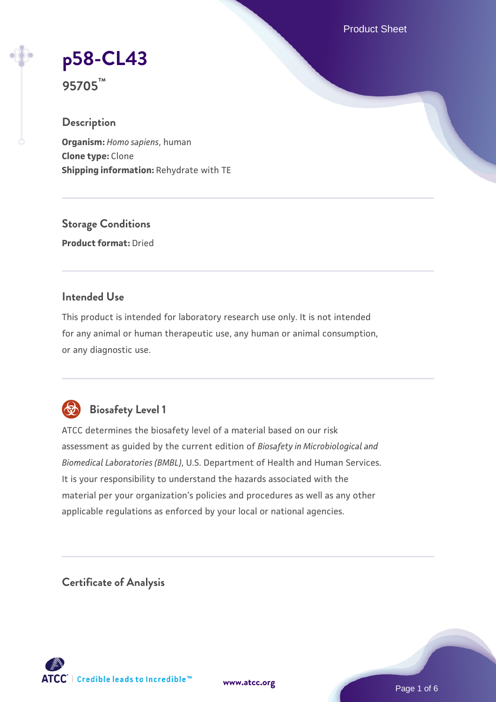Product Sheet

**[p58-CL43](https://www.atcc.org/products/95705)**

**95705™**

### **Description**

**Organism:** *Homo sapiens*, human **Clone type:** Clone **Shipping information:** Rehydrate with TE

**Storage Conditions Product format:** Dried

## **Intended Use**

This product is intended for laboratory research use only. It is not intended for any animal or human therapeutic use, any human or animal consumption, or any diagnostic use.



# **Biosafety Level 1**

ATCC determines the biosafety level of a material based on our risk assessment as guided by the current edition of *Biosafety in Microbiological and Biomedical Laboratories (BMBL)*, U.S. Department of Health and Human Services. It is your responsibility to understand the hazards associated with the material per your organization's policies and procedures as well as any other applicable regulations as enforced by your local or national agencies.

**Certificate of Analysis**

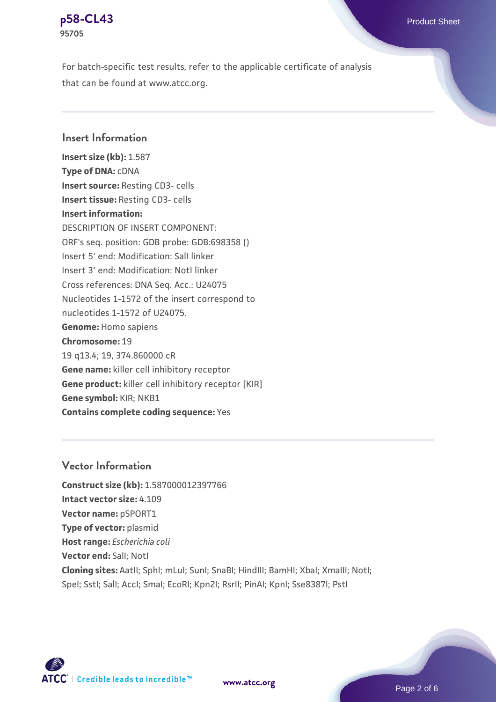

For batch-specific test results, refer to the applicable certificate of analysis that can be found at www.atcc.org.

# **Insert Information**

**Insert size (kb):** 1.587 **Type of DNA:** cDNA **Insert source:** Resting CD3- cells **Insert tissue:** Resting CD3- cells **Insert information:** DESCRIPTION OF INSERT COMPONENT: ORF's seq. position: GDB probe: GDB:698358 () Insert 5' end: Modification: SalI linker Insert 3' end: Modification: NotI linker Cross references: DNA Seq. Acc.: U24075 Nucleotides 1-1572 of the insert correspond to nucleotides 1-1572 of U24075. **Genome:** Homo sapiens **Chromosome:** 19 19 q13.4; 19, 374.860000 cR **Gene name:** killer cell inhibitory receptor **Gene product:** killer cell inhibitory receptor [KIR] **Gene symbol:** KIR; NKB1 **Contains complete coding sequence:** Yes

#### **Vector Information**

**Construct size (kb):** 1.587000012397766 **Intact vector size:** 4.109 **Vector name:** pSPORT1 **Type of vector:** plasmid **Host range:** *Escherichia coli* **Vector end:** SalI; NotI **Cloning sites:** AatII; SphI; mLuI; SunI; SnaBI; HindIII; BamHI; XbaI; XmaIII; NotI; Spel; Sstl; Sall; Accl; Smal; EcoRI; Kpn2I; RsrII; PinAI; KpnI; Sse8387I; PstI



**[www.atcc.org](http://www.atcc.org)**

Page 2 of 6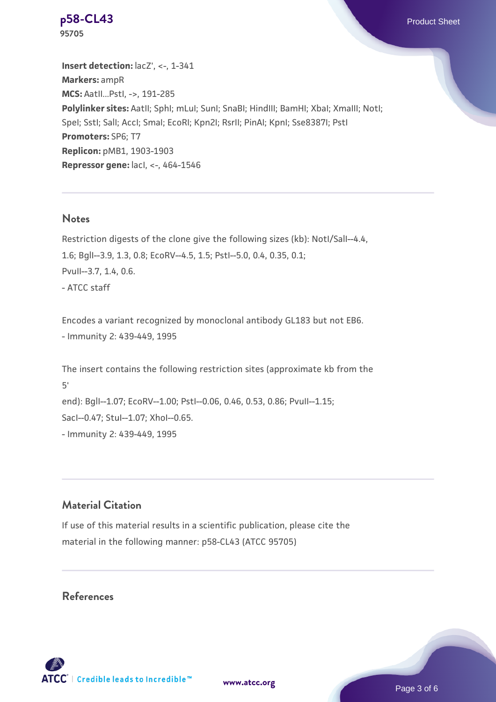**Insert detection:**  $lacZ'$ , <-, 1-341 **Markers:** ampR **MCS:** AatII...PstI, ->, 191-285 Polylinker sites: AatII; SphI; mLuI; SunI; SnaBI; HindIII; BamHI; XbaI; XmaIII; NotI; SpeI; SstI; SalI; AccI; SmaI; EcoRI; Kpn2I; RsrII; PinAI; KpnI; Sse8387I; PstI **Promoters:** SP6; T7 **Replicon:** pMB1, 1903-1903 **Repressor gene:** lacI, <-, 464-1546

#### **Notes**

Restriction digests of the clone give the following sizes (kb): NotI/SalI--4.4, 1.6; BglI--3.9, 1.3, 0.8; EcoRV--4.5, 1.5; PstI--5.0, 0.4, 0.35, 0.1; PvuII--3.7, 1.4, 0.6. - ATCC staff

Encodes a variant recognized by monoclonal antibody GL183 but not EB6. - Immunity 2: 439-449, 1995

The insert contains the following restriction sites (approximate kb from the 5' end): BglI--1.07; EcoRV--1.00; PstI--0.06, 0.46, 0.53, 0.86; PvuII--1.15; SacI--0.47; StuI--1.07; XhoI--0.65. - Immunity 2: 439-449, 1995

#### **Material Citation**

If use of this material results in a scientific publication, please cite the material in the following manner: p58-CL43 (ATCC 95705)

#### **References**



**[www.atcc.org](http://www.atcc.org)**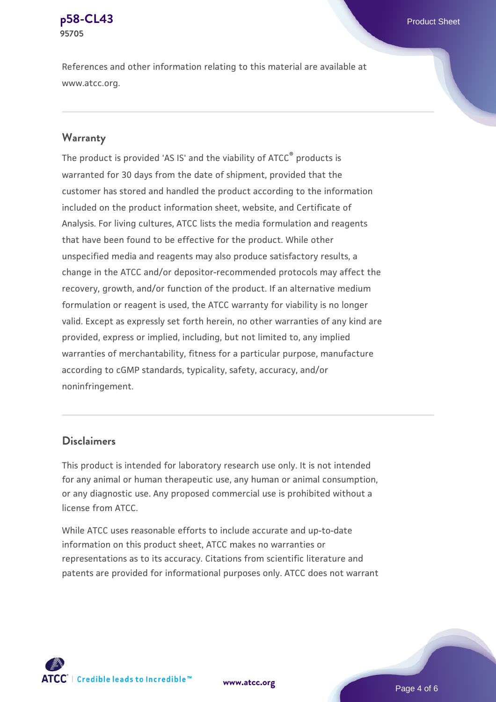References and other information relating to this material are available at www.atcc.org.

#### **Warranty**

The product is provided 'AS IS' and the viability of ATCC® products is warranted for 30 days from the date of shipment, provided that the customer has stored and handled the product according to the information included on the product information sheet, website, and Certificate of Analysis. For living cultures, ATCC lists the media formulation and reagents that have been found to be effective for the product. While other unspecified media and reagents may also produce satisfactory results, a change in the ATCC and/or depositor-recommended protocols may affect the recovery, growth, and/or function of the product. If an alternative medium formulation or reagent is used, the ATCC warranty for viability is no longer valid. Except as expressly set forth herein, no other warranties of any kind are provided, express or implied, including, but not limited to, any implied warranties of merchantability, fitness for a particular purpose, manufacture according to cGMP standards, typicality, safety, accuracy, and/or noninfringement.

#### **Disclaimers**

This product is intended for laboratory research use only. It is not intended for any animal or human therapeutic use, any human or animal consumption, or any diagnostic use. Any proposed commercial use is prohibited without a license from ATCC.

While ATCC uses reasonable efforts to include accurate and up-to-date information on this product sheet, ATCC makes no warranties or representations as to its accuracy. Citations from scientific literature and patents are provided for informational purposes only. ATCC does not warrant

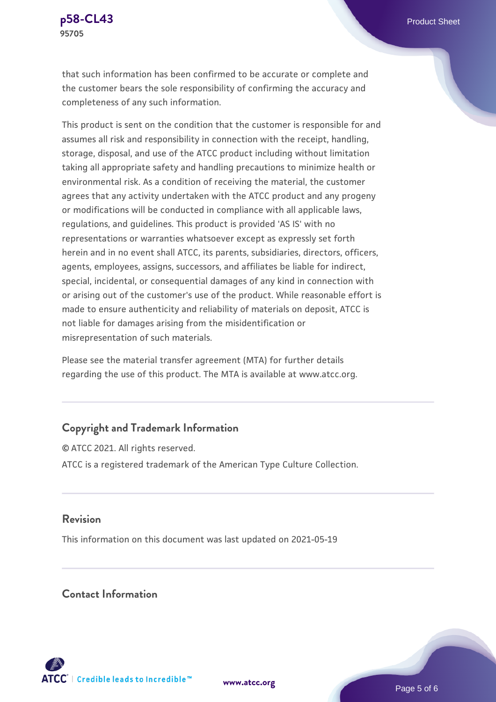

that such information has been confirmed to be accurate or complete and the customer bears the sole responsibility of confirming the accuracy and completeness of any such information.

This product is sent on the condition that the customer is responsible for and assumes all risk and responsibility in connection with the receipt, handling, storage, disposal, and use of the ATCC product including without limitation taking all appropriate safety and handling precautions to minimize health or environmental risk. As a condition of receiving the material, the customer agrees that any activity undertaken with the ATCC product and any progeny or modifications will be conducted in compliance with all applicable laws, regulations, and guidelines. This product is provided 'AS IS' with no representations or warranties whatsoever except as expressly set forth herein and in no event shall ATCC, its parents, subsidiaries, directors, officers, agents, employees, assigns, successors, and affiliates be liable for indirect, special, incidental, or consequential damages of any kind in connection with or arising out of the customer's use of the product. While reasonable effort is made to ensure authenticity and reliability of materials on deposit, ATCC is not liable for damages arising from the misidentification or misrepresentation of such materials.

Please see the material transfer agreement (MTA) for further details regarding the use of this product. The MTA is available at www.atcc.org.

# **Copyright and Trademark Information**

© ATCC 2021. All rights reserved. ATCC is a registered trademark of the American Type Culture Collection.

# **Revision**

This information on this document was last updated on 2021-05-19

# **Contact Information**